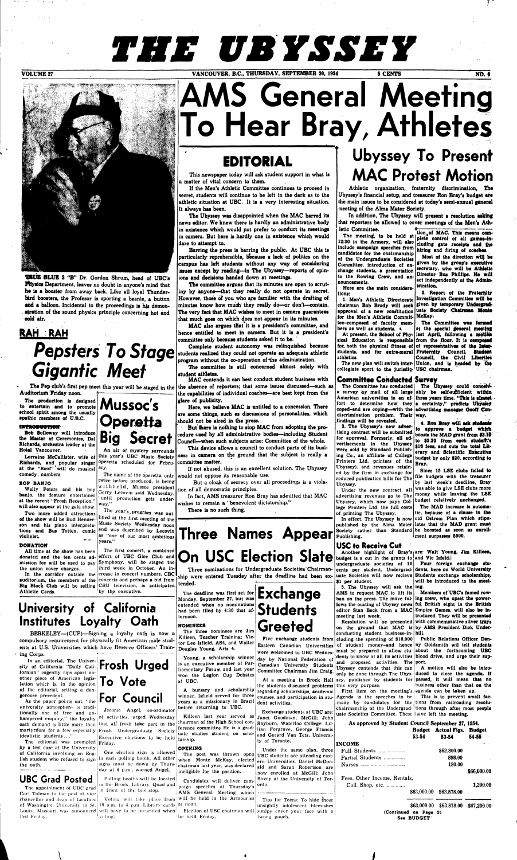# *THE UBYSSEY*

**VOLUME 27** VANCOUVER, B.C., THURSDAY, SEPTEMBER 30, 1954 5 CENTS NO. 6



# **AMS General Meeting To Hear Bray, Athletes**

## **EDITORIAL**

**TRUE BLUB 3 "B" Dr. Gordon Shrum, head of UBC's Physics Department, leaves no doubt in anyone's mind that ho is a booster from away back. Like all loyal Thunderbird boosters, the Profesor is sporting a beanie, a button**  and a balloon. Incidental to the proceedings is his demonstration of the sound physics principle concerning hot and **cold air.** 

**Richards, and popular singer** operetta scheduled for Febru-committee matter. at the "Roof" will do musical <sup>ary.</sup> **comedy, numbers** 

## **RAH RAH Gigantic Meet**

The Pep **club's first pep meet this year will be staged in the Auditorium Friday noon.** 

**The production is designed**  The production is designed<br>to entertain and to promote **Mussoc's**<br>school spirit among the usually **school spirit among the usually spathic members oi U.B.C.** 

### **WYltODWTIOff**

**Bob Solloway will introduce** 

Lorraine McCallister, wife of this year's UBC Music Society **Big Secret An air of mystery surrounds** 

**the Master of Ceremonies, Dal Richards, orchestra leader at the Hotel Vancouver.** 

#### The name of the operetta, only twice before produced, is being withheld, Mussoc president Gerry Lecovin said Wednesday,

The year's program was outlined at the first meeting of **the**  Music Society Wednesday noon

#### BOP **BANJO**

**Wally Peters and his bop banjo,** the **feature** entertainer **at the recent "Frosh Reception," will also appear at** the gala show.

In the corridor outside the crease in concert numbers, CBC **auditorium, the members of the**  concerts and perhaps **a** bid **from Big Block Club will be selling**  CBU television, is anticipated third week in October. An inby the executive.

**Two more added attractions of the show will be Bud Henderson and his piano interpreta**tions and Bus Totten, comic<sup>and was described by Lecovin</sup> **violinist.** 

#### **DONATION**

university atmosphere is traditionally one of free and unhampered enquiry," the loyalty idealistic students ..."

**Athletic Cards.** 

The editorial was prompted Friday. by a test case at the University of California involving an Engthe oath.



**All time at the show has been donated and the ten cents admission fee will be used to pay the union cover charges.**  Symphony, **will** be **staged the** 

oath demand is little more than that all frosh take part in the martyrdom for a few especially Frosh Undergraduate Society Jerome Angel, co-ordinator of activities, urged Wednesday Executive elections to be held

lish student who refused to  $sign$  in each polling booth. All other One election sign is allowed signs must be down by Thursday nt 4 p.m., warned Angel.

"until promotion gets **under-**

**way,"** 

of Washington University in St.  $10^{\circ}$  a.m. to 4 p.m. Library cards at noon. Louis, Missouri was announced will have to be presented when **Election of USC chairman will simlpy cover your face with a** Voting will take place from

as "one of our most ambitious

years."



The first concert, **a combined**  effort of **UBC** Glee **Club and** 

## **University of California Institutes Loyalty Oath**

**BERKELEY—(CUP)—**Signing **a** loyalty oath is now **a**  compulsory requirement for physically fit American male students at U.S. Universities which have Reserve Officers' Training Corps,

In an editorial, The University of California "Daily Cali-**Frosh Urged**  fornian" cogently rips apart another piece of American legislation which is, in the opinion of the editorial, setting a dangerouse precedent.

**Pepsters** To Stage students realized they could not operate an adequate athletic normal program without the co-operation of the administration. **students realized they could not operate an adequate athletic program without the co-operation of the administration.** 

The committee is still concerned almost solely with **student athletes.** 

But there is nothing to stop MAC from adopting the pro**cedure used by all administrative bodies—including Student Council—when such subjects arise: Committee of the whole.** 

## As the paper points out, "the **For Council To Vote**

## **UBC Grad Posted**

**In addition, The Ubyssey will present a resolution asking**  that reporters be allowed to cover meetings of the Men's Ath-

The appointment of UBC grad Carl Tolman to the post of vice chancellor and dean of faculties last Fridav. voting,

Polling booths will be located in the Brock, Library. Quad and in front of the bus stop.

**This newspaper today will ask student support in what is a matter of vital concern to them.** 

**If the Men's Athletic Committee continues to proceed in secret, students will continue to be left in the dark as to the athletic situation at UBC. It is a very interesting situation. It always has been.** 

Candidates will deliver cam- Bovey at the University of Torpaign speeches at Thursday's

 $\lambda$  *(a)*  $\lambda$  *(b)*  $\lambda$  *(c)*  $\lambda$  *(c)*  $\lambda$  *(c)*  $\lambda$  *(c)*  $\lambda$  *(c)*  $\lambda$  *(c)*  $\lambda$  *(c)*  $\lambda$  *(c)*  $\lambda$  *(c)*  $\lambda$  *(c)*  $\lambda$  *(c)*  $\lambda$  *(c)*  $\lambda$  *(c)*  $\lambda$  *(c)*  $\lambda$  *(c)*  $\lambda$  *(c)*  $\lambda$  *(c)*  $\lambda$  *(c)*

**The Ubyssey was disappointed when the MAC barred Its news editor. We knew there is hardly an administrative body in existence which would pot prefer to conduct its meetings in camera. But here is hardly one in existence which would dare to attempt to.** 

> Exchange students at UBC are: Janet Goodman, McGill; John Rayburn, Waterloo College- Lil-

Tips for Teens: To hide those unsightly adolescent blemishes

**Barring the press is barring the public. At UBC this is particularly reprehensible, because a lack of politics on the campus has left students without any way of considering issues except by reading—in The Ubyssey—reports of opinions and decisions handed down at meetings.** 

letic Committee.<br>The meeting to be held at tion of MAC. This means com-The meeting, to be held at plete control of all games-in-12:30 in the Armory, will also cluding gate receipts and the **include campaign speeches from candidates for the chairmanship of the Undergraduate Societies Committee, Introduction of exchange students, a presentation to the Rowing Crew,** and **announcements.** 

**The committee argues that its minutes are open to scrutiny by anyone—that they really do not operate in secret. However, those of you who are familiar with the drafting of minutes know how much they really do—or don't—contain. The very fact that MAC wishes to meet in camera guarantees that much goes on which does not appear in its minutes.** 

> **The Committee has conducted**  a survey by mail of all large ably be self-sufficient within American universities in an ef- three years time. "This is almest fort to determine how they a certainty," predicts Ubyasey **coped-and are coping—with the advertising manager Geoff Condiscrimination problem. Their way. findings will be revealed.**  The Ubyssey could conceiv-

**MAC also argues tMat it is a president's committee,** and **hence entitled to meet in camera. But it is a president's committee only because students asked it to be.** 

> **Another highlight of Bray's are: Walt Young, Jim Killeen,**  budget is a cut in the grants to and Vic Isfeld.

**cluding the spending of \$16,000 Public Relations Officer Dan**of student money-and **hence ny Goldsmith wil tell students must** be prepared to **allow** stu-**about the forthcoming UBC**  dents to know of **all** its activities **blood drive, and urge their sup**and proposed activities. The port. Ubyssey contends that this can | A motion will also be intro-

**MAC contends it can best conduct student business with the absence of reporters; that some issues discussed—such as the capabilities of individual coaches—are best kept from the glare of publicity.** 

**Here, we believe MAC is entitled to a concession. There are some things, such as discussions of personalities, which should not be aired in the press.** 

**This device allows a council to conduct parts of its business in camera on the ground that the subject is really a** 

**If not abused, this is an excellent solution. The Ubyssey would not oppose its reasonable use.** 

**But a cloak of secrecy over all proceedings is a violation of all democratic principles.** 

> **The MAD increase ls automatic, because of a clause in the**  ment surpasses 5500.

**In fact, AMS treasurer Ron Bray has admitted that MAC wishes to remain aj "benevolent dictatorship."** 

**There is no such thing.** 

## **Ubyssey To Present MAC Protest Motion**

**5.** The Ubyssey will ask the ing. AMS to request MAC to lift its **Members of UBC's famed rowban on the press. The move fol-ing crew, who upset the powerlows the ousting of Ubysey news ful British eight in the British editor Stan Beck from a MAC Empire Games, will also be inmeeting last week. troduced. They will be presented** 

**Athletic organization,, fraternity discrimination, Tbe Ubyssey's financial setup, and treasurer Ron Bray's budget** ate **the main issues to be considered at today's semi-annual general meeting of the Alma Mater Society.** 

## **Three Names Appear On USC Election Slate**

**Three nominations for Undergraduate Societies 'Chairmanship were entered Tuesday after the deadline had been ex-**

**tended.** 

**The deadline was first set for Monday, September 27, but was extended when no nominations had been filed by 4:30 that afternoon.** 

#### **NOMINEES**

**The three nominees are Jim** 

**Killeen, Teacher Training; Victor Leo Isfield, AS4, and Walter Douglas Young, Arts 4.** 

# **Young, a scholarship winner**

**is an executive member of Parliamentary Forum and** last year won the Legion Cup Debates at UBC.

A bursary and scholarship winner, Isfield served for three years as a missionary in Brazil dent activities. before returning to UBC.

Killeen last year served as chairman of the High School conference committee He is a grad-lian Forgrave, George Francis uate studies student on scholarship.

#### **OPENING**

The post was thrown open when Monte McKay, elected chairman last year, was declared ald and Sarah Robertson are ineligible for the position.

AMS General Meeting which will be held in the Armouries

be held Friday.

## **Exchange Students Greeted Five exchange** students **from**

Eastern **Canadian** Universities were welcomed to **UBC** Wednesday by National Federation **of** 

Canadian University Students Committee Chairman Jim **Craig.** 

At **a** meeting in **Brock Hall**  the students discussed problems this very purpose. regarding scholarships, academic

and Gerard Van Tets, University of Toronto.

Under the same plan, three UBC students are attending eastern Universities. Daniel McDonnow enrolled at McGill; John

onto.

twong pouch.

**Here are the main considerations:** 

**1. Men's Athletic Directorate chairman Bob Brady will seek given by temporary Undergradapproval of a new constitution uate Society Chairman Monte for the Men's Athletic Commit-McKay. tee-composed of faculty mem-**

bers as well as students.  $\triangleleft$ At present, the School of Phy- last April, following a motion **sical Education is responsible from** the **floor. It is composed**  for, both the physical fitness of of representatives of the Inter**students, and for extra-mural Fraternity Council, Student**  at the special general meeting

**3. The Ubyssey's new advertising contract will be submitted to approve a budget whjeh**  for approval. Formerly, all ad-<br> **to \$3.20 from each student's vertisements in the Ubyssey \$16 fees, and cuts the total Litwere sold by Standard Publish-erary** and **Scientific Executive ing Co., an affiliate of College budget by only \$20, according to Printers Ltd. printers of the Bray. Ubyssey). and revenues retained by the firm in exchange for reduced publication bills for The file budgets with the treasurer Ubyssey. Under the new contract, all was able to give LSE clubs more advertising revenues go to The Ubyssey, which now pays Col-budget relatively unchanged, lege Printers Ltd. the full costs** 

**of printing The Ubyssey. In effect, The Ubyssey is now old Ostrom Plan which stipupublished by the Alma Mater lates that the MAD grant must**  Society rather than Standard be boosted as soon as enroll-**Publishing.** 

## **USC to Receive Cut**

**athletics. The new plan will switch inter-Union, and is hoaded by the** 

**collegiate sport to the jurisdiq-**USC **chairman.** 

### **Committee Conducted Survey**

courses, and participation in stu-Agenda is the speeches to be **This is to prevent small fac-**First item on the meeting's agenda can be taken up. made by candidates for the **tions from railroading resolu**chairmanship of the Undergrad-**tions through after most people**  uate Societies Committee. These have **left** the **meeting.** 

**eluding gate receipts** and the **hiring and firing of coaches. Most of the direction will be given by the group's executive secretary, who will be Athletic** 

**Director** Bus **Phillips. He will act Independently of the Administration. 2. Report of the Fraternity** 

**Investigation Committee will be The Committee was formed** 

**undergraduate societies of 10 Four foreign exchange stucents per student. Undergrad-dents, here on World University uate Societies will now recieve Students exchange scholarships, \$1 per student. will be introduced to the meet-**

**Council, the Civil Liberties** 

**Resolution will be presented with commemorative silver trays**  on the ground that MAC is by AMS President Dick Under**conducting student business-in-hill.** 

**4. Ron Bray will ask students boosts the MAD grant from** 18.10

only be done through The Ubys-**duced to close the agenda. If**  sey, published by students for **passed, it will mean that no**  business **other than that on the** 

**Since 15 LSE clubs failed to by last week's deadline, Bray money while leaving the LSE** 

| As approved by Student Council September 27, 1954. |                                     |                                   |             |
|----------------------------------------------------|-------------------------------------|-----------------------------------|-------------|
|                                                    |                                     | <b>Budget Actual Figs. Budget</b> |             |
|                                                    | $53 - 54$                           | $53 - 54$                         | 54-55       |
| <b>INCOME</b>                                      |                                     |                                   |             |
| Full Students                                      |                                     | \$62,800.00                       |             |
| Partial Students                                   |                                     | 898.00                            |             |
|                                                    |                                     | 180.00                            |             |
|                                                    |                                     |                                   | \$66,000.00 |
| Fees, Other Income, Rentals,                       |                                     |                                   |             |
| Coll. Shop, etc.                                   |                                     |                                   | 1,200.00    |
|                                                    | \$63,000.00                         | \$63,878.00                       |             |
|                                                    |                                     | \$63,000.00 \$63,878.00           | \$67,200.00 |
|                                                    | (Continued on Page 3)<br>See BUDGET |                                   |             |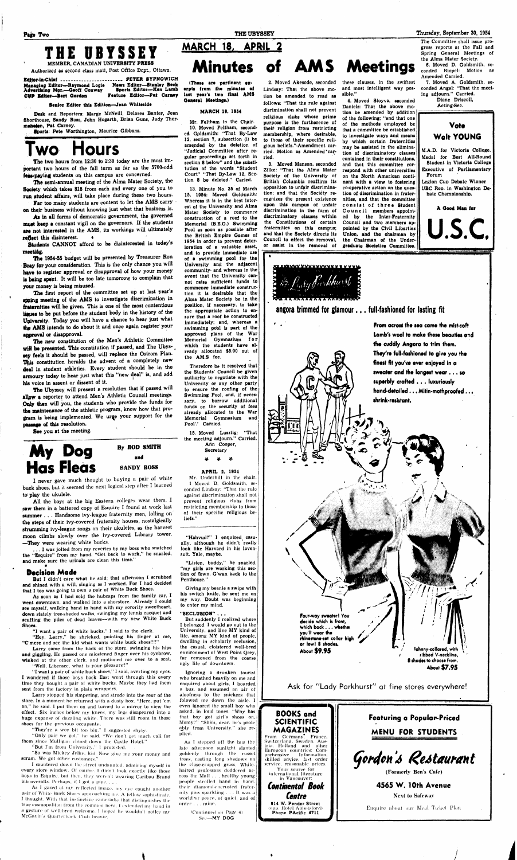## **Page Two THE UBYSSEY Thursday, September 30, 1954**

## **THE UBYSSEY**

**MEMBER, CANADIAN UNIVERSITY PRESS** 

**Authorized as second class mail, Tost Office Dept., Ottawa. Editor-in-Chief ............................... PETER SYPNOWICH Managing Editor—Raymond Logie News Editor—Stanley Beck Advertising** Mgr.—**Geoff Conway Sports Editor—Ken Lamb**  *tWO* **Editor—Bert Gordon Feature Editor—Pai Carney** 

**Senior Editor this Edition—Jean Whiteside** 

**Desk and Reporters: Marge McNeill, Delores Banter, Jean Shorthouse, Sandy Ross, John Hogarth, Brian Guns, Judy Thortnahaien, Pat Carney.** 

**•ports: Pete Worthington, Maurice Gibbons.** 

## **Two Hours**

The two hours from 12:30 to 2:30 today are the most im**portant two hours of the fall term as far as the 5700-odd**  fees-paying students on this campus are concerned.

**Students CANNOT afford to be disinterested in today's**  meeting.

The 1954-55 budget will be presented by Treasurer Ron Bray for your consideration. This is the only chance you will haye to register approval or disapproval of how your money **la being spent. It will be too late tomorrow to complain that your money is being misused.** 

**The semi-annual meeting of the Alma Mater Society, the**  Society which takes \$18 from each and every one of you to **run atudent affairs, will take place during these two hours.** 

**Far too many students are content to let the AMS carry on their business without knowing just what that business is.** 

**As in all forms of democratic government, the governed muet keep a constant vigil on the governors. If the students are not interested in the AMS, its workings will ultimately reflect this disinterest. •** 

*The* **Ubyssey will present a resolution that if passed will allow a reporter to attend Men's Athletic Council meetings.**  Only then will you, the students who provide the funds for **tha maintenance of the athletic program, know how that program is being implemented. We urge your support for the**  passage of this resolution.

**Tha first report of the committee set up at last year's apping meeting of the AMS to investigate discrimination in fraternities will be given. This is one of the most contentious lignes to be put before the student body in the history of the University. Today you will have a chance to hear just what**  the AMS intends to do about it and once again register your **approval or disapproval.** 

**The new constitution of the Men's Athletic Committee**  will be presented. This constitution if passed, and The Ubys**ley feels it should be passed, will replace the Ostrom Plan.**  This constitution heralds the advent of a completely new **deal in student athletics. Every student should be in the armoury today to hear just what this "new deal" is, and add his voice in assent or dissent Of it.** 

Larry stopped his simpering, and strode into the rear **of the store. In** a moment he returned with a dusty box. "Here, put 'em on," he said. I put them on and turned to a mirror to view the effect. Six inches below my knees, my legs disapeared into a huge expanse of dazzling while. There was still room in those shoes for the previous occupants..

"They're a wee bit too big," I suggested shyly.

"Only pair we got." he said. "We don't get much call for them since Mulligan closed down the Castle Hotel."

"But I'm from University," I protested.

**See you at the meeting.** 

## **MARCH 18, APRIL**

**My Dog Has Fleas**  **By ROD SMITH and** 

**SANDY ROSS** 

**I never gave much** thought to buying a pair of white **buck shoes, but** it seemed the next logical step after I learned **to play the ukulele.** 

As I gazed at my reflected image, my eye caught another pair of White Buck Shoes approaching me. A fellow sophisticate, I thought. With that instinctive cameradie that distinguishes the true cosmopolitan from the common herd. I extended my hand in a gesture of well-bred welcome. 1 hoped he wouldn't notice mv McGavin's Quarterback Club beanie.

**All the boys at the big Eastern colleges wear them. I saw them in a battered copy of Esquire I found at work last summer . . . Handsome ivy-league fraternity men, lolling on the steps of their ivy-covered fraternity houses, nostalgically strumming ivy-league songs on their ukuleles, as the harvest moon cilmbs slowly over the ivy-covered Library tower. —They were wearing white bucks.** 

**. . . I was jolted from my reveries by my boss who snatched the "Esquire" from my hand. "Get back to work," he snarled, and make sure the urinals are clean this time."** 

### **Decision Made**

**But I didn't care what he said; that afternoon I scrubbed and shined with a will, singing as I worked. For I had decided that I too was going to own** a **pair of White Buck Shoes.** 

**As soon as I had sold the hubcaps from the family car, I went downtown, and** walked into a shoestore. **Already I could see myself, walking** hand in hand with my sorority sweetheart, **down stately** tree-shaded walks, swinging my tennis racquet **and scuffing the** piles of dead leaves—with my new **White Buck Shoes.** 

"Hahvud?" I enquired casually, although he didn't really **look like Harvard in his lavensuit. Yale, maybe.** 

**"I want a** pair of white bucks," **I** said to **the clerk.** 

**"Hey, Larry,"** he shrieked, pointing his finger at **me, "C'mere** and **see** the kid what wants white buck shoes!!!!"

**Larry** came from the back of the store, swinging his hips **and giggling.** He passed one miostened finger over his eyebrow, **winked** at the other clerk, and motioned me over to **a** seat. **"Well, Liberace,** what is your pleasure?"

**Minutes of AMS Meetings (These are pertinent ex-**

"I want a pair of white buck shoes," I said, averting my eyes. I **wondered** if those boys back East went through this every **time they** bought a pair of white bucks. Maybe they had them **sent** from the factory in plain wrappers.

"So was Mickey Jelke, kid. Now give me your money and scram. We got other customers."

I sauntered down the street undaunted, admiring myself in every store window. Of course, I didn't look exactly like those boys in Esquire, but then, they weren't wearing Caribou Brand bib overalls. Perhaps, if f got a pipe. . .

**erpts from the minutes of last year's two final AMS General Meetings.)** 

#### **MARCH 18, 1954**

**Mr. Feltham in the Chair. 10. Moved Feltham, seconded Gpldsmith: "That By-Law 12, section 7, subsection (i) be amended by the deletion of "Judicial Committee after regular proceedings set forth in section 8 below" and the substitution of the words "Student Court" "That By-Law 12, Section 8 be deleted." Caried.** 

> *Centre*  **914 W. Pender Street**  (opp. Hotel Abbotsford) Phone PAcific 4711

**13. Minute No. 35 of March 15, 1954: Moved Goldsmith: Whereas it is in the best interest of the University and Alma Mater Society to commence construction of a roof to the Memorial (B.E.G.) Swimming Pool as soon as possible after the British Empire Games of 1954 in order to prevent deterioration of a valuable asset, and to provide immediate use of a swimming pool for the University and the adjacent community- and whereas in the event that the University cannot raise sufficient funds to commence immediate construction it is desirable that the Alma Mater Society be in the position, if necessary, to take the appropriate action to ensure that a roof be constructed immediately; and, whereas a**  swimming pool is part of the **approved plans of the War Memorial Gymnasium fo r which the students have already allocated \$5.00 out of the AM.S fee.** 

**\* Therefore be it resolved that the Students' Council be given authority to negotiate with the University or any other party to ensure the roofing of the Swimming Pool, and, if necessary, to borrow additional funds on the security of fees already allocated to the War Memorial Gymnasium and Pool'.' Carried.** 

**15. Moved Lusztig: "That** 

**the meeting adjourn." Carried. Ann Cooper, Secretary** 

#### **APRIL 2. 1954**

Mr. Underhill in thc chair. 1 Moved D. Goldsmith, seconded Lindsay: "That the rule against discrimination shall not prevent religious clubs from restricting membership **to** those **of their** specific **religious beliefs."** 

**"Listen, buddy," he snarled, "my girls are working this section of fown. G'wan back to the Penthouse."** 

**Giving my beanie a swipe with his switch knife, he sent me on my way. Doubt was beginning to enter my mind.** 

#### **"SECLUSION"** . . .

But suddenly I realized **where**  I **belonged. I would go out to** the University, **and** live **MY** kind of life, among MY kind **of** people, dwelling in scholarly seclusion, **the** casual, cloistered well-bred environment of West Point Qrey, far removed from **the** coarse ugly life of downtown.

Ignoring a drunken tourist who breathed heavily on me and enquired about girls, I boarded a bus, and assumed an air of aloofness to the snickers that folowed me down the aisle. I even ignored the small boy who asked, in loud tones. "Why has that boy got girl's shoes on, Momy?" "Shhh, dear, he's probably from University." she replied.

As I stepped off the bus the late afternoon sunlight slanted goldenly through the russet trees, casting long shadows on the close-cropped grass. Whitehaired professors doddered across the Mall . . . healthy young people strolled hand in hand, their diamond-encrusted fraternity pins sparkling .. . It was a world •of peace, of quiet, and of order . . . mine.

> ''Continued on Pago 4) Sec—**MY DOG**

**2. Moved Akesode, seconded Lindsay: That the above motion be amended to read as follows: "That the rule against disrimination shall not prevent religious clubs whose prime purpose is the furtherence of their religion from restricting membership, where desirable, to those of their specific religious beliefs."-Amendment carried. Motion as Amended'car-**

**ried.** 

**3. Moved Manson, seconded Zilke: "That the Alma Mater Society of the University of British Columbia reaffirm its opposition to unfair discrimination; and that the Society recognizes the present existence upon this campus of unfair discrimination in the form of discriminatory clauses within the Constitutions of certain fraternities on this campus; and that the Society directs its Council to effect the removal, or assist in the removal of** 

**these clauses, in the swiftest and most intelligent way possible."** 

**4. Moved Stoyva, seconded Daniels: That the above motion be amended by addition of the following: "and that one of the methods employed be that a committee be established to investigate ways and means by which certain fraternities may be assisted in the elimination of discriminatory clauses contained in their constitutions, and that this committee correspond with other universities on the North American continent with a view to fostering co-operative action on the question of discrimination in fraternities, and that the committee consist of thre e Student**  Council members appoint**ed by the Inter-Fraternity Council and two members appointed by the Civil Liberties Union, and the chairman by the Chairman of the Undergraduate Societies Committee.** 

**The Committee shall issue progress reports at the Fall and Spring General Meetings of the Alma Mater Society. 6. Moved D. Goldsmith, se-**

**conded Riopel: Motion as Amended Carried.** 

**7. Moved A. Goldsmith, seconded Angel: "That the meeting adjourn." Carried.** 

**Diane Driscoll, Acting-Sec.** 

## **Vote**  Walt YOUNG

**M.A.D. for Victoria College. Medal for Best All-Round Student in Victoria College Executive of Parliamentary Forum** 

**Legion Cup Debate Winner UBC Rep. in Washington Der bate Championship.** 

**A Good Man for** 

U.S.C.



## **angora** trimmed **for** glamour... full-fashioned for lasting fit

**' • From across the tea camt the mist-soft lamb's wool to make these beauties and the cuddly Angora to trim them.**  They're full-fashioned to give you the **finest fit you've ever enjoyed in a sweater and the longest wear.. . so superbly crafted .. . luxuriously**  hand-detailed . . . Mitin-mothproofed . . . **shrink-rtiittant.** 



service, reasonable prices. Your source for international literature in Vancouver: *Continental Book* 

**(Formerly Ben's Cafe)** 

**4565 W. 10th Avenue Next to Safeway** 

Enquire about our Meal Ticket Plan

**i**